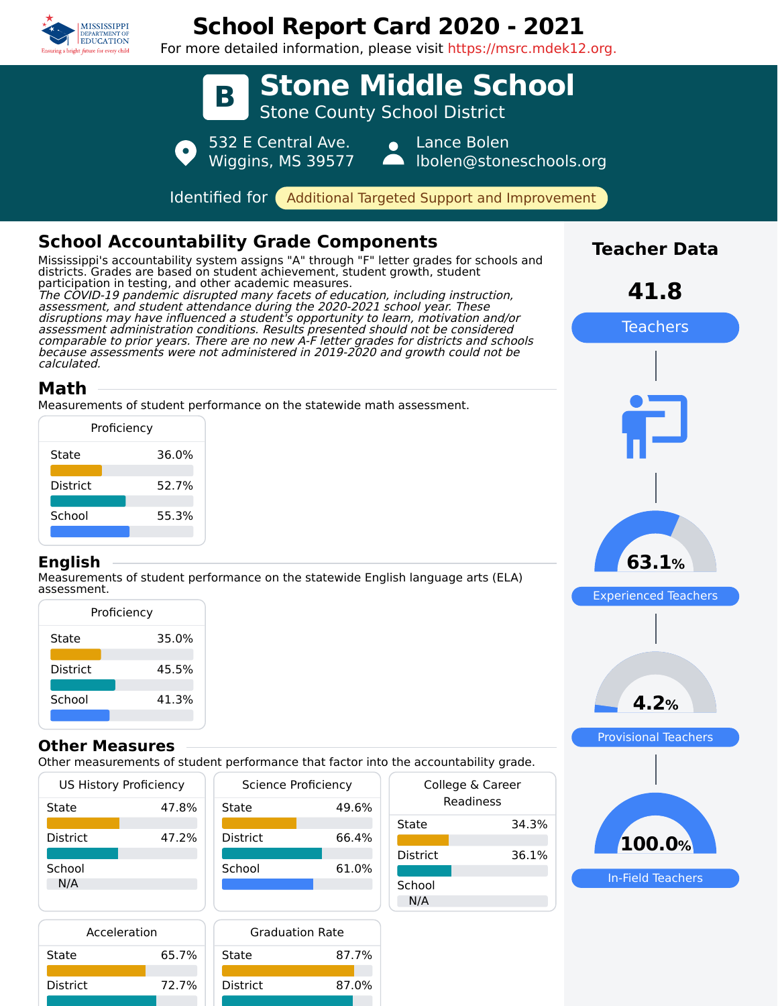

District 72.7%

District 87.0%

# **School Report Card 2020 - 2021**

For more detailed information, please visit https://msrc.mdek12.org.